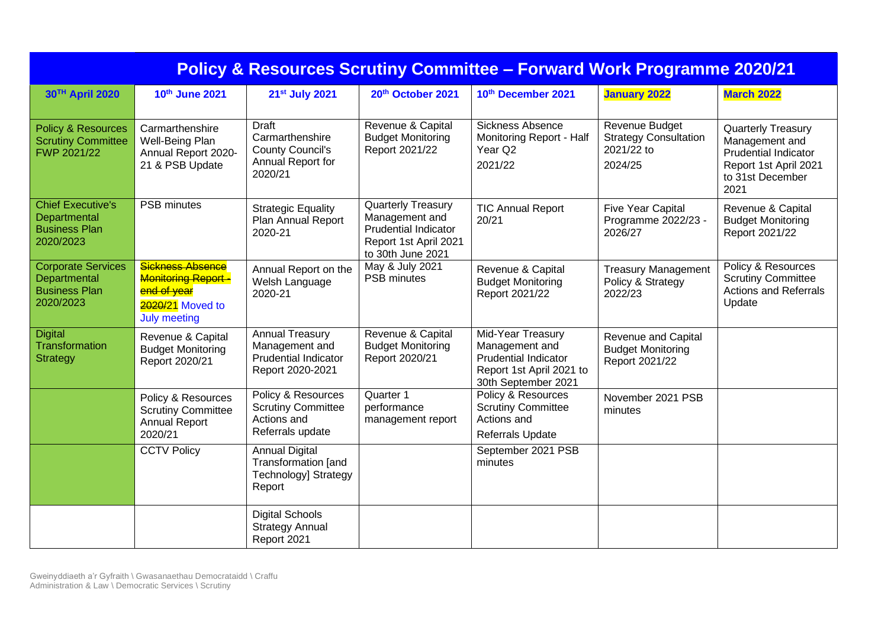| <b>Policy &amp; Resources Scrutiny Committee - Forward Work Programme 2020/21</b> |                                                                                                         |                                                                                             |                                                                                                                   |                                                                                                                       |                                                                         |                                                                                                                                 |  |  |  |  |
|-----------------------------------------------------------------------------------|---------------------------------------------------------------------------------------------------------|---------------------------------------------------------------------------------------------|-------------------------------------------------------------------------------------------------------------------|-----------------------------------------------------------------------------------------------------------------------|-------------------------------------------------------------------------|---------------------------------------------------------------------------------------------------------------------------------|--|--|--|--|
| 30TH April 2020                                                                   | 10th June 2021                                                                                          | 21st July 2021                                                                              | 20th October 2021                                                                                                 | 10th December 2021                                                                                                    | <b>January 2022</b>                                                     | <b>March 2022</b>                                                                                                               |  |  |  |  |
| <b>Policy &amp; Resources</b><br><b>Scrutiny Committee</b><br>FWP 2021/22         | Carmarthenshire<br>Well-Being Plan<br>Annual Report 2020-<br>21 & PSB Update                            | <b>Draft</b><br>Carmarthenshire<br><b>County Council's</b><br>Annual Report for<br>2020/21  | Revenue & Capital<br><b>Budget Monitoring</b><br>Report 2021/22                                                   | <b>Sickness Absence</b><br>Monitoring Report - Half<br>Year Q2<br>2021/22                                             | Revenue Budget<br><b>Strategy Consultation</b><br>2021/22 to<br>2024/25 | <b>Quarterly Treasury</b><br>Management and<br><b>Prudential Indicator</b><br>Report 1st April 2021<br>to 31st December<br>2021 |  |  |  |  |
| <b>Chief Executive's</b><br>Departmental<br><b>Business Plan</b><br>2020/2023     | <b>PSB</b> minutes                                                                                      | <b>Strategic Equality</b><br>Plan Annual Report<br>2020-21                                  | Quarterly Treasury<br>Management and<br><b>Prudential Indicator</b><br>Report 1st April 2021<br>to 30th June 2021 | <b>TIC Annual Report</b><br>20/21                                                                                     | <b>Five Year Capital</b><br>Programme 2022/23 -<br>2026/27              | Revenue & Capital<br><b>Budget Monitoring</b><br>Report 2021/22                                                                 |  |  |  |  |
| <b>Corporate Services</b><br>Departmental<br><b>Business Plan</b><br>2020/2023    | <b>Sickness Absence</b><br>Monitoring Report-<br>end of year<br>2020/21 Moved to<br><b>July meeting</b> | Annual Report on the<br>Welsh Language<br>2020-21                                           | May & July 2021<br><b>PSB minutes</b>                                                                             | Revenue & Capital<br><b>Budget Monitoring</b><br>Report 2021/22                                                       | <b>Treasury Management</b><br>Policy & Strategy<br>2022/23              | Policy & Resources<br><b>Scrutiny Committee</b><br>Actions and Referrals<br>Update                                              |  |  |  |  |
| <b>Digital</b><br>Transformation<br><b>Strategy</b>                               | Revenue & Capital<br><b>Budget Monitoring</b><br>Report 2020/21                                         | <b>Annual Treasury</b><br>Management and<br><b>Prudential Indicator</b><br>Report 2020-2021 | Revenue & Capital<br><b>Budget Monitoring</b><br>Report 2020/21                                                   | Mid-Year Treasury<br>Management and<br><b>Prudential Indicator</b><br>Report 1st April 2021 to<br>30th September 2021 | Revenue and Capital<br><b>Budget Monitoring</b><br>Report 2021/22       |                                                                                                                                 |  |  |  |  |
|                                                                                   | Policy & Resources<br><b>Scrutiny Committee</b><br><b>Annual Report</b><br>2020/21                      | Policy & Resources<br><b>Scrutiny Committee</b><br>Actions and<br>Referrals update          | Quarter 1<br>performance<br>management report                                                                     | Policy & Resources<br><b>Scrutiny Committee</b><br>Actions and<br>Referrals Update                                    | November 2021 PSB<br>minutes                                            |                                                                                                                                 |  |  |  |  |
|                                                                                   | <b>CCTV Policy</b>                                                                                      | <b>Annual Digital</b><br>Transformation [and<br><b>Technology] Strategy</b><br>Report       |                                                                                                                   | September 2021 PSB<br>minutes                                                                                         |                                                                         |                                                                                                                                 |  |  |  |  |
|                                                                                   |                                                                                                         | <b>Digital Schools</b><br><b>Strategy Annual</b><br>Report 2021                             |                                                                                                                   |                                                                                                                       |                                                                         |                                                                                                                                 |  |  |  |  |